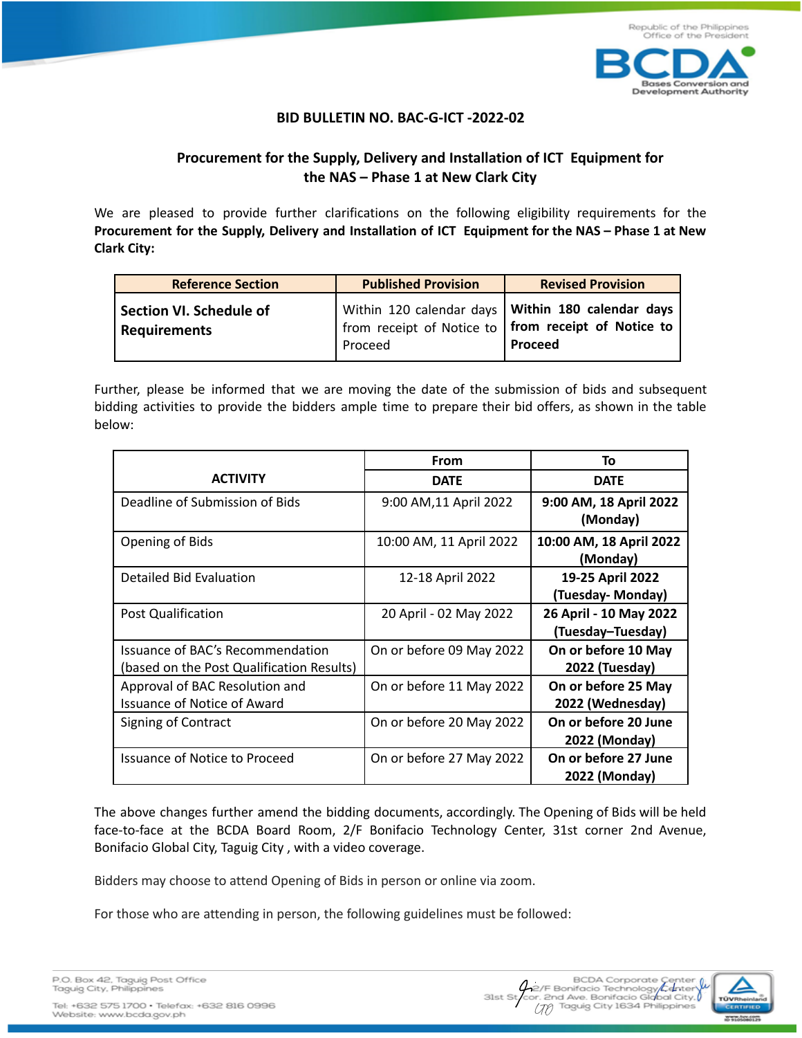

## **BID BULLETIN NO. BAC-G-ICT -2022-02**

## **Procurement for the Supply, Delivery and Installation of ICT Equipment for the NAS – Phase 1 at New Clark City**

We are pleased to provide further clarifications on the following eligibility requirements for the **Procurement for the Supply, Delivery and Installation of ICT Equipment for the NAS – Phase 1 at New Clark City:**

| <b>Reference Section</b>                       | <b>Published Provision</b> | <b>Revised Provision</b>                                                                                                          |
|------------------------------------------------|----------------------------|-----------------------------------------------------------------------------------------------------------------------------------|
| Section VI. Schedule of<br><b>Requirements</b> | Proceed                    | Within 120 calendar days <b>Within 180 calendar days</b><br>from receipt of Notice to <b>from receipt of Notice to</b><br>Proceed |

Further, please be informed that we are moving the date of the submission of bids and subsequent bidding activities to provide the bidders ample time to prepare their bid offers, as shown in the table below:

|                                                                               | <b>From</b>              | To                                          |
|-------------------------------------------------------------------------------|--------------------------|---------------------------------------------|
| <b>ACTIVITY</b>                                                               | <b>DATE</b>              | <b>DATE</b>                                 |
| Deadline of Submission of Bids                                                | 9:00 AM, 11 April 2022   | 9:00 AM, 18 April 2022<br>(Monday)          |
| Opening of Bids                                                               | 10:00 AM, 11 April 2022  | 10:00 AM, 18 April 2022<br>(Monday)         |
| Detailed Bid Evaluation                                                       | 12-18 April 2022         | 19-25 April 2022<br>(Tuesday- Monday)       |
| <b>Post Qualification</b>                                                     | 20 April - 02 May 2022   | 26 April - 10 May 2022<br>(Tuesday-Tuesday) |
| Issuance of BAC's Recommendation<br>(based on the Post Qualification Results) | On or before 09 May 2022 | On or before 10 May<br>2022 (Tuesday)       |
| Approval of BAC Resolution and<br><b>Issuance of Notice of Award</b>          | On or before 11 May 2022 | On or before 25 May<br>2022 (Wednesday)     |
| Signing of Contract                                                           | On or before 20 May 2022 | On or before 20 June<br>2022 (Monday)       |
| <b>Issuance of Notice to Proceed</b>                                          | On or before 27 May 2022 | On or before 27 June<br>2022 (Monday)       |

The above changes further amend the bidding documents, accordingly. The Opening of Bids will be held face-to-face at the BCDA Board Room, 2/F Bonifacio Technology Center, 31st corner 2nd Avenue, Bonifacio Global City, Taguig City , with a video coverage.

Bidders may choose to attend Opening of Bids in person or online via zoom.

For those who are attending in person, the following guidelines must be followed:

Website: www.bcda.gov.ph